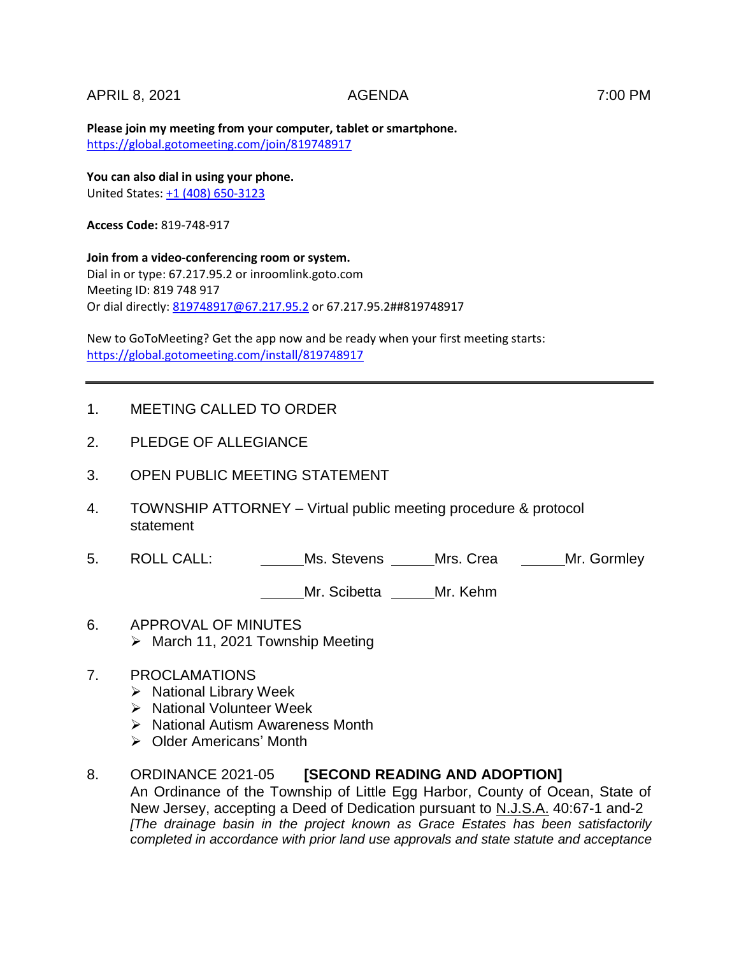# APRIL 8, 2021 AGENDA 7:00 PM

**Please join my meeting from your computer, tablet or smartphone.**  <https://global.gotomeeting.com/join/819748917>

**You can also dial in using your phone.** United States[: +1 \(408\) 650-3123](tel:+14086503123,,819748917)

**Access Code:** 819-748-917

**Join from a video-conferencing room or system.** Dial in or type: 67.217.95.2 or inroomlink.goto.com Meeting ID: 819 748 917 Or dial directly: [819748917@67.217.95.2](mailto:819748917@67.217.95.2) or 67.217.95.2##819748917

New to GoToMeeting? Get the app now and be ready when your first meeting starts: <https://global.gotomeeting.com/install/819748917>

## 1. MEETING CALLED TO ORDER

- 2. PLEDGE OF ALLEGIANCE
- 3. OPEN PUBLIC MEETING STATEMENT
- 4. TOWNSHIP ATTORNEY Virtual public meeting procedure & protocol statement
- 5. ROLL CALL: Ms. Stevens Mrs. Crea Mr. Gormley

Mr. Scibetta Mr. Kehm

6. APPROVAL OF MINUTES  $\triangleright$  March 11, 2021 Township Meeting

# 7. PROCLAMATIONS

- $\triangleright$  National Library Week
- $\triangleright$  National Volunteer Week
- $\triangleright$  National Autism Awareness Month
- $\triangleright$  Older Americans' Month

#### 8. ORDINANCE 2021-05 **[SECOND READING AND ADOPTION]**

An Ordinance of the Township of Little Egg Harbor, County of Ocean, State of New Jersey, accepting a Deed of Dedication pursuant to N.J.S.A. 40:67-1 and-2 *[The drainage basin in the project known as Grace Estates has been satisfactorily completed in accordance with prior land use approvals and state statute and acceptance*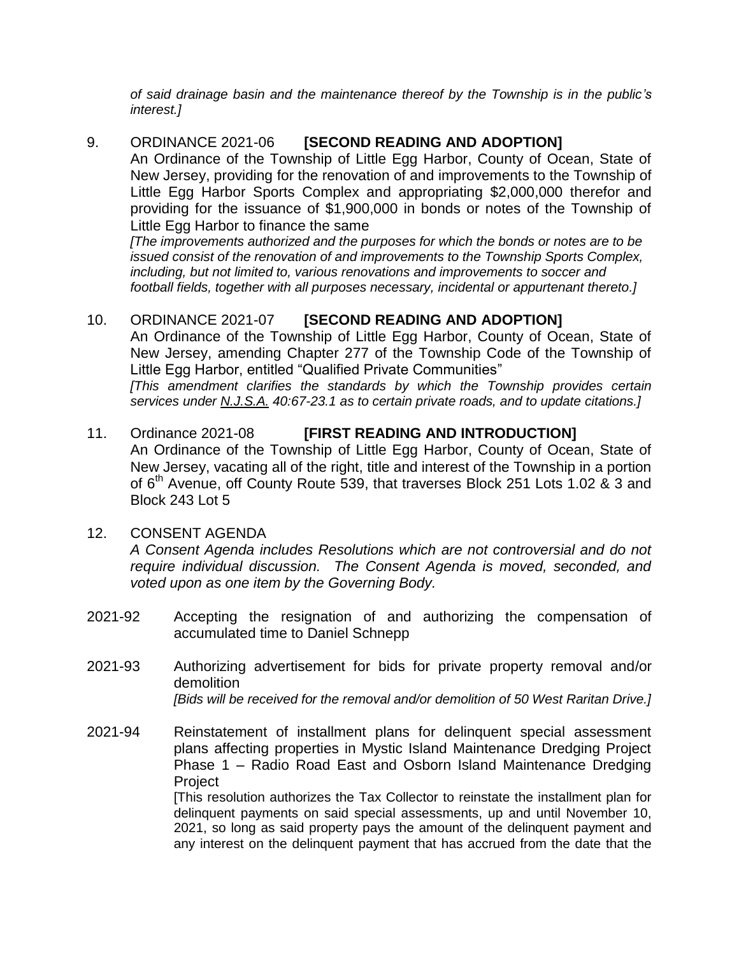*of said drainage basin and the maintenance thereof by the Township is in the public's interest.]*

9. ORDINANCE 2021-06 **[SECOND READING AND ADOPTION]** An Ordinance of the Township of Little Egg Harbor, County of Ocean, State of New Jersey, providing for the renovation of and improvements to the Township of Little Egg Harbor Sports Complex and appropriating \$2,000,000 therefor and providing for the issuance of \$1,900,000 in bonds or notes of the Township of Little Egg Harbor to finance the same

*[The improvements authorized and the purposes for which the bonds or notes are to be issued consist of the renovation of and improvements to the Township Sports Complex, including, but not limited to, various renovations and improvements to soccer and football fields, together with all purposes necessary, incidental or appurtenant thereto.]*

# 10. ORDINANCE 2021-07 **[SECOND READING AND ADOPTION]**

An Ordinance of the Township of Little Egg Harbor, County of Ocean, State of New Jersey, amending Chapter 277 of the Township Code of the Township of Little Egg Harbor, entitled "Qualified Private Communities"

*[This amendment clarifies the standards by which the Township provides certain services under N.J.S.A. 40:67-23.1 as to certain private roads, and to update citations.]*

11. Ordinance 2021-08 **[FIRST READING AND INTRODUCTION]** An Ordinance of the Township of Little Egg Harbor, County of Ocean, State of New Jersey, vacating all of the right, title and interest of the Township in a portion of 6<sup>th</sup> Avenue, off County Route 539, that traverses Block 251 Lots 1.02 & 3 and Block 243 Lot 5

## 12. CONSENT AGENDA

*A Consent Agenda includes Resolutions which are not controversial and do not require individual discussion. The Consent Agenda is moved, seconded, and voted upon as one item by the Governing Body.* 

- 2021-92 Accepting the resignation of and authorizing the compensation of accumulated time to Daniel Schnepp
- 2021-93 Authorizing advertisement for bids for private property removal and/or demolition *[Bids will be received for the removal and/or demolition of 50 West Raritan Drive.]*

2021-94 Reinstatement of installment plans for delinquent special assessment plans affecting properties in Mystic Island Maintenance Dredging Project Phase 1 – Radio Road East and Osborn Island Maintenance Dredging Project [This resolution authorizes the Tax Collector to reinstate the installment plan for

delinquent payments on said special assessments, up and until November 10, 2021, so long as said property pays the amount of the delinquent payment and any interest on the delinquent payment that has accrued from the date that the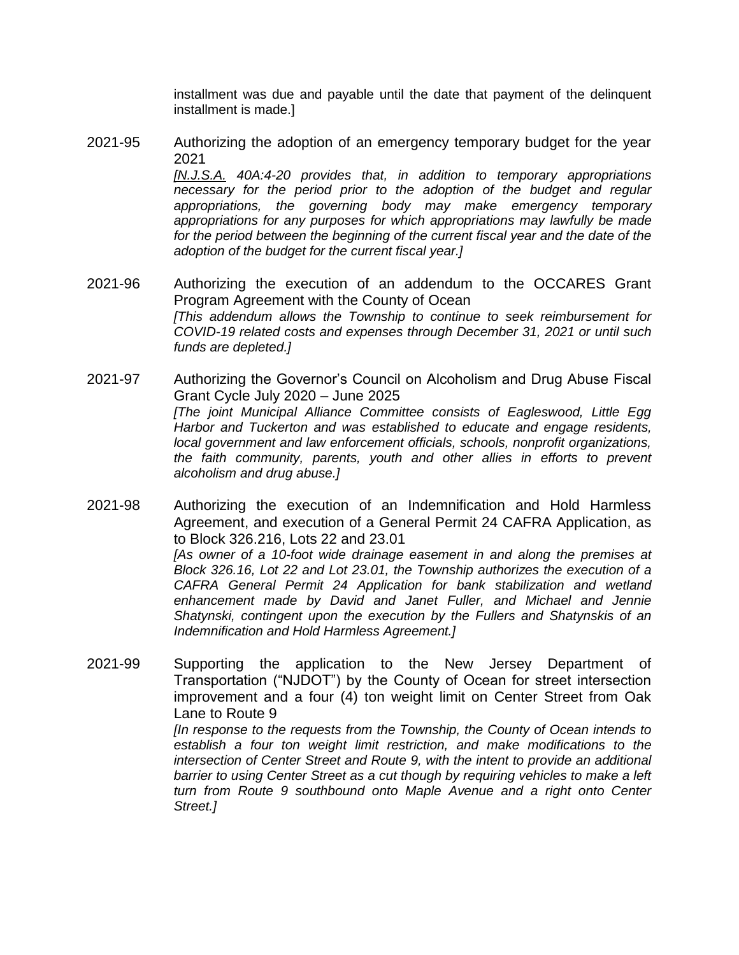installment was due and payable until the date that payment of the delinquent installment is made.]

- 2021-95 Authorizing the adoption of an emergency temporary budget for the year 2021 *[N.J.S.A. 40A:4-20 provides that, in addition to temporary appropriations necessary for the period prior to the adoption of the budget and regular appropriations, the governing body may make emergency temporary appropriations for any purposes for which appropriations may lawfully be made*  for the period between the beginning of the current fiscal year and the date of the *adoption of the budget for the current fiscal year.]*
- 2021-96 Authorizing the execution of an addendum to the OCCARES Grant Program Agreement with the County of Ocean *[This addendum allows the Township to continue to seek reimbursement for COVID-19 related costs and expenses through December 31, 2021 or until such funds are depleted.]*
- 2021-97 Authorizing the Governor's Council on Alcoholism and Drug Abuse Fiscal Grant Cycle July 2020 – June 2025 *[The joint Municipal Alliance Committee consists of Eagleswood, Little Egg Harbor and Tuckerton and was established to educate and engage residents, local government and law enforcement officials, schools, nonprofit organizations, the faith community, parents, youth and other allies in efforts to prevent alcoholism and drug abuse.]*
- 2021-98 Authorizing the execution of an Indemnification and Hold Harmless Agreement, and execution of a General Permit 24 CAFRA Application, as to Block 326.216, Lots 22 and 23.01 *[As owner of a 10-foot wide drainage easement in and along the premises at Block 326.16, Lot 22 and Lot 23.01, the Township authorizes the execution of a CAFRA General Permit 24 Application for bank stabilization and wetland enhancement made by David and Janet Fuller, and Michael and Jennie Shatynski, contingent upon the execution by the Fullers and Shatynskis of an Indemnification and Hold Harmless Agreement.]*
- 2021-99 Supporting the application to the New Jersey Department of Transportation ("NJDOT") by the County of Ocean for street intersection improvement and a four (4) ton weight limit on Center Street from Oak Lane to Route 9 *[In response to the requests from the Township, the County of Ocean intends to establish a four ton weight limit restriction, and make modifications to the intersection of Center Street and Route 9, with the intent to provide an additional barrier to using Center Street as a cut though by requiring vehicles to make a left turn from Route 9 southbound onto Maple Avenue and a right onto Center Street.]*